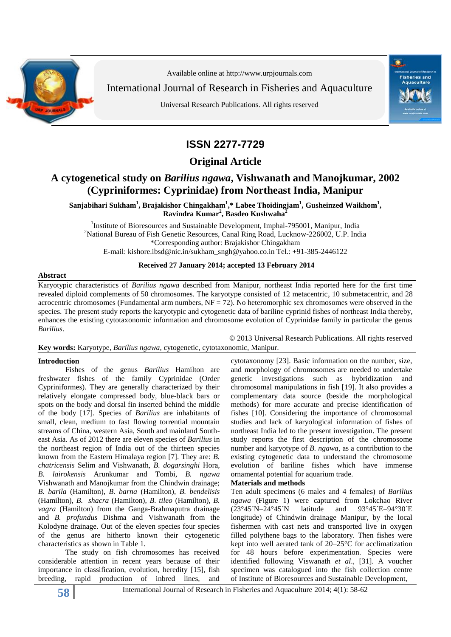

Available online at http:/[/www.urpjournals.com](http://www.urpjournals.com/)

International Journal of Research in Fisheries and Aquaculture

Universal Research Publications. All rights reserved



## **ISSN 2277-7729**

**Original Article**

## **A cytogenetical study on** *Barilius ngawa***, Vishwanath and Manojkumar, 2002 (Cypriniformes: Cyprinidae) from Northeast India, Manipur**

 $\mathbf{S}$ anjabihari Sukham $^{1}$ , Brajakishor Chingakham $^{1,*}$  Labee Thoidingjam $^{1}$ , Gusheinzed Waikhom $^{1}$ , **Ravindra Kumar<sup>2</sup> , Basdeo Kushwaha<sup>2</sup>**

<sup>1</sup>Institute of Bioresources and Sustainable Development, Imphal-795001, Manipur, India <sup>2</sup>National Bureau of Fish Genetic Resources, Canal Ring Road, Lucknow-226002, U.P. India \*Corresponding author: Brajakishor Chingakham E-mail: [kishore.ibsd@nic.in/](mailto:kishore.ibsd@nic.in)sukham\_sngh@yahoo.co.in Tel.: +91-385-2446122

### **Received 27 January 2014; accepted 13 February 2014**

#### **Abstract**

Karyotypic characteristics of *Barilius ngawa* described from Manipur, northeast India reported here for the first time revealed diploid complements of 50 chromosomes. The karyotype consisted of 12 metacentric, 10 submetacentric, and 28 acrocentric chromosomes (Fundamental arm numbers,  $NF = 72$ ). No heteromorphic sex chromosomes were observed in the species. The present study reports the karyotypic and cytogenetic data of bariline cyprinid fishes of northeast India thereby, enhances the existing cytotaxonomic information and chromosome evolution of Cyprinidae family in particular the genus *Barilius*.

© 2013 Universal Research Publications. All rights reserved **Key words:** Karyotype, *Barilius ngawa*, cytogenetic, cytotaxonomic, Manipur.

#### **Introduction**

Fishes of the genus *Barilius* Hamilton are freshwater fishes of the family Cyprinidae (Order Cypriniformes). They are generally characterized by their relatively elongate compressed body, blue-black bars or spots on the body and dorsal fin inserted behind the middle of the body [17]. Species of *Barilius* are inhabitants of small, clean, medium to fast flowing torrential mountain streams of China, western Asia, South and mainland Southeast Asia. As of 2012 there are eleven species of *Barilius* in the northeast region of India out of the thirteen species known from the Eastern Himalaya region [7]. They are: *B. chatricensis* Selim and Vishwanath, *B. dogarsinghi* Hora, *B. lairokensis* Arunkumar and Tombi, *B. ngawa* Vishwanath and Manojkumar from the Chindwin drainage; *B. barila* (Hamilton), *B. barna* (Hamilton), *B. bendelisis* (Hamilton), *B. shacra* (Hamilton), *B. tileo* (Hamilton), *B. vagra* (Hamilton) from the Ganga-Brahmaputra drainage and *B. profundus* Dishma and Vishwanath from the Kolodyne drainage. Out of the eleven species four species of the genus are hitherto known their cytogenetic characteristics as shown in Table 1.

The study on fish chromosomes has received considerable attention in recent years because of their importance in classification, evolution, heredity [15], fish breeding, rapid production of inbred lines, and

cytotaxonomy [23]. Basic information on the number, size, and morphology of chromosomes are needed to undertake genetic investigations such as hybridization and chromosomal manipulations in fish [19]. It also provides a complementary data source (beside the morphological methods) for more accurate and precise identification of fishes [10]. Considering the importance of chromosomal studies and lack of karyological information of fishes of northeast India led to the present investigation. The present study reports the first description of the chromosome number and karyotype of *B. ngawa*, as a contribution to the existing cytogenetic data to understand the chromosome evolution of bariline fishes which have immense ornamental potential for aquarium trade.

#### **Materials and methods**

Ten adult specimens (6 males and 4 females) of *Barilius ngawa* (Figure 1) were captured from Lokchao River (23°45´N–24°45´N latitude and 93°45´E–94°30´E longitude) of Chindwin drainage Manipur, by the local fishermen with cast nets and transported live in oxygen filled polythene bags to the laboratory. Then fishes were kept into well aerated tank of 20–25°C for acclimatization for 48 hours before experimentation. Species were identified following Viswanath *et al*., [31]. A voucher specimen was catalogued into the fish collection centre of Institute of Bioresources and Sustainable Development,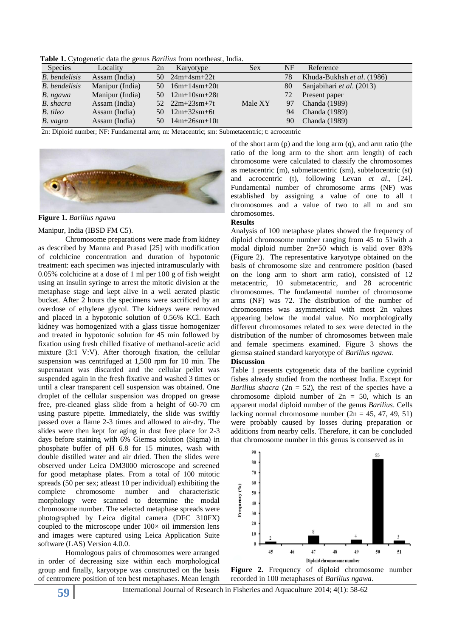**Table 1.** Cytogenetic data the genus *Barilius* from northeast, India.

| $\sim$ which is a properties which the period $D$ of $\alpha$ from holding of interest |                 |     |                            |            |    |                            |
|----------------------------------------------------------------------------------------|-----------------|-----|----------------------------|------------|----|----------------------------|
| <b>Species</b>                                                                         | Locality        | 2n  | Karyotype                  | <b>Sex</b> | NF | Reference                  |
| <b>B.</b> bendelisis                                                                   | Assam (India)   |     | $50 \quad 24m + 4sm + 22t$ |            | 78 | Khuda-Bukhsh et al. (1986) |
| <b>B.</b> bendelisis                                                                   | Manipur (India) | 50. | $16m+14sm+20t$             |            | 80 | Sanjabihari et al. (2013)  |
| B. ngawa                                                                               | Manipur (India) |     | $50 \quad 12m+10sm+28t$    |            | 72 | Present paper              |
| B. shacra                                                                              | Assam (India)   |     | $52 \quad 22m+23sm+7t$     | Male XY    | 97 | Chanda (1989)              |
| B. tileo                                                                               | Assam (India)   |     | $50 \quad 12m + 32sm + 6t$ |            | 94 | Chanda (1989)              |
| B. vagra                                                                               | Assam (India)   | 50. | $14m+26sm+10t$             |            | 90 | Chanda (1989)              |
|                                                                                        |                 |     |                            |            |    |                            |

2n: Diploid number; NF: Fundamental arm; m: Metacentric; sm: Submetacentric; t: acrocentric



**Figure 1.** *Barilius ngawa*

#### Manipur, India (IBSD FM C5).

Chromosome preparations were made from kidney as described by Manna and Prasad [25] with modification of colchicine concentration and duration of hypotonic treatment: each specimen was injected intramuscularly with 0.05% colchicine at a dose of 1 ml per 100 g of fish weight using an insulin syringe to arrest the mitotic division at the metaphase stage and kept alive in a well aerated plastic bucket. After 2 hours the specimens were sacrificed by an overdose of ethylene glycol. The kidneys were removed and placed in a hypotonic solution of 0.56% KCl. Each kidney was homogenized with a glass tissue homogenizer and treated in hypotonic solution for 45 min followed by fixation using fresh chilled fixative of methanol-acetic acid mixture (3:1 V:V). After thorough fixation, the cellular suspension was centrifuged at 1,500 rpm for 10 min. The supernatant was discarded and the cellular pellet was suspended again in the fresh fixative and washed 3 times or until a clear transparent cell suspension was obtained. One droplet of the cellular suspension was dropped on grease free, pre-cleaned glass slide from a height of 60-70 cm using pasture pipette. Immediately, the slide was swiftly passed over a flame 2-3 times and allowed to air-dry. The slides were then kept for aging in dust free place for 2-3 days before staining with 6% Giemsa solution (Sigma) in phosphate buffer of pH 6.8 for 15 minutes, wash with double distilled water and air dried. Then the slides were observed under Leica DM3000 microscope and screened for good metaphase plates. From a total of 100 mitotic spreads (50 per sex; atleast 10 per individual) exhibiting the complete chromosome number and characteristic morphology were scanned to determine the modal chromosome number. The selected metaphase spreads were photographed by Leica digital camera (DFC 310FX) coupled to the microscope under  $100 \times$  oil immersion lens and images were captured using Leica Application Suite software (LAS) Version 4.0.0.

Homologous pairs of chromosomes were arranged in order of decreasing size within each morphological group and finally, karyotype was constructed on the basis of centromere position of ten best metaphases. Mean length

ratio of the long arm to the short arm length) of each chromosome were calculated to classify the chromosomes as metacentric (m), submetacentric (sm), subtelocentric (st) and acrocentric (t), following Levan *et al*., [24]. Fundamental number of chromosome arms (NF) was established by assigning a value of one to all t chromosomes and a value of two to all m and sm chromosomes. **Results**

of the short arm (p) and the long arm (q), and arm ratio (the

Analysis of 100 metaphase plates showed the frequency of diploid chromosome number ranging from 45 to 51with a modal diploid number 2n=50 which is valid over 83% (Figure 2). The representative karyotype obtained on the basis of chromosome size and centromere position (based on the long arm to short arm ratio), consisted of 12 metacentric, 10 submetacentric, and 28 acrocentric chromosomes. The fundamental number of chromosome arms (NF) was 72. The distribution of the number of chromosomes was asymmetrical with most 2n values appearing below the modal value. No morphologically different chromosomes related to sex were detected in the distribution of the number of chromosomes between male and female specimens examined. Figure 3 shows the giemsa stained standard karyotype of *Barilius ngawa*.

#### **Discussion**

Table 1 presents cytogenetic data of the bariline cyprinid fishes already studied from the northeast India. Except for *Barilius shacra* ( $2n = 52$ ), the rest of the species have a chromosome diploid number of  $2n = 50$ , which is an apparent modal diploid number of the genus *Barilius*. Cells lacking normal chromosome number  $(2n = 45, 47, 49, 51)$ were probably caused by losses during preparation or additions from nearby cells. Therefore, it can be concluded that chromosome number in this genus is conserved as in



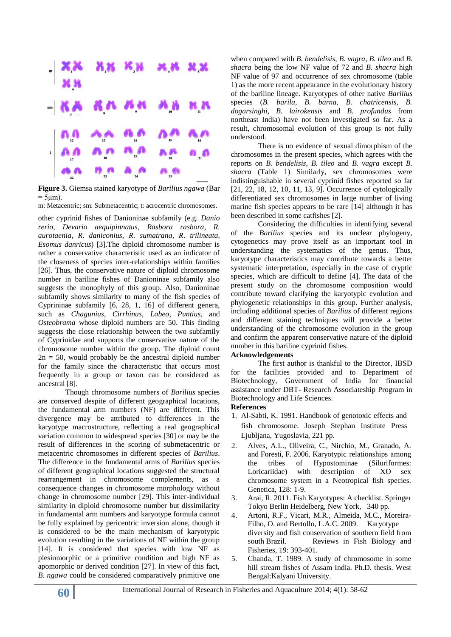

**Figure 3.** Giemsa stained karyotype of *Barilius ngawa* (Bar  $= 5 \mu m$ ).

m: Metacentric; sm: Submetacentric; t: acrocentric chromosomes.

other cyprinid fishes of Danioninae subfamily (e.g. *Danio rerio*, *Devario aequipinnatus*, *Rasbora rasbora*, *R. aurotaenia*, *R*. *daniconius*, *R*. *sumatrana*, *R*. *trilineata*, *Esomus danricus*) [3].The diploid chromosome number is rather a conservative characteristic used as an indicator of the closeness of species inter-relationships within families [26]. Thus, the conservative nature of diploid chromosome number in bariline fishes of Danioninae subfamily also suggests the monophyly of this group. Also, Danioninae subfamily shows similarity to many of the fish species of Cyprininae subfamily [6, 28, 1, 16] of different genera, such as *Chagunius*, *Cirrhinus*, *Labeo*, *Puntius*, and *Osteobrama* whose diploid numbers are 50. This finding suggests the close relationship between the two subfamily of Cyprinidae and supports the conservative nature of the chromosome number within the group. The diploid count  $2n = 50$ , would probably be the ancestral diploid number for the family since the characteristic that occurs most frequently in a group or taxon can be considered as ancestral [8].

Though chromosome numbers of *Barilius* species are conserved despite of different geographical locations, the fundamental arm numbers (NF) are different. This divergence may be attributed to differences in the karyotype macrostructure, reflecting a real geographical variation common to widespread species [30] or may be the result of differences in the scoring of submetacentric or metacentric chromosomes in different species of *Barilius*. The difference in the fundamental arms of *Barilius* species of different geographical locations suggested the structural rearrangement in chromosome complements, as a consequence changes in chromosome morphology without change in chromosome number [29]. This inter-individual similarity in diploid chromosome number but dissimilarity in fundamental arm numbers and karyotype formula cannot be fully explained by pericentric inversion alone, though it is considered to be the main mechanism of karyotypic evolution resulting in the variations of NF within the group [14]. It is considered that species with low NF as plesiomorphic or a primitive condition and high NF as apomorphic or derived condition [27]. In view of this fact, *B. ngawa* could be considered comparatively primitive one

when compared with *B. bendelisis*, *B. vagra*, *B. tileo* and *B. shacra* being the low NF value of 72 and *B. shacra* high NF value of 97 and occurrence of sex chromosome (table 1) as the more recent appearance in the evolutionary history of the bariline lineage. Karyotypes of other native *Barilius*  species (*B. barila, B. barna, B. chatricensis, B. dogarsinghi, B. lairokensis* and *B. profundus* from northeast India) have not been investigated so far. As a result, chromosomal evolution of this group is not fully understood.

There is no evidence of sexual dimorphism of the chromosomes in the present species, which agrees with the reports on *B. bendelisis*, *B. tileo* and *B. vagra* except *B. shacra* (Table 1) Similarly, sex chromosomes were indistinguishable in several cyprinid fishes reported so far [21, 22, 18, 12, 10, 11, 13, 9]. Occurrence of cytologically differentiated sex chromosomes in large number of living marine fish species appears to be rare [14] although it has been described in some catfishes [2].

Considering the difficulties in identifying several of the *Barilius* species and its unclear phylogeny, cytogenetics may prove itself as an important tool in understanding the systematics of the genus. Thus, karyotype characteristics may contribute towards a better systematic interpretation, especially in the case of cryptic species, which are difficult to define [4]. The data of the present study on the chromosome composition would contribute toward clarifying the karyotypic evolution and phylogenetic relationships in this group. Further analysis, including additional species of *Barilius* of different regions and different staining techniques will provide a better understanding of the chromosome evolution in the group and confirm the apparent conservative nature of the diploid number in this bariline cyprinid fishes.

#### **Acknowledgements**

The first author is thankful to the Director, IBSD for the facilities provided and to Department of Biotechnology, Government of India for financial assistance under DBT- Research Associateship Program in Biotechnology and Life Sciences.

#### **References**

- 1. Al-Sabti, K. 1991. Handbook of genotoxic effects and fish chromosome. Joseph Stephan Institute Press Ljubljana, Yugoslavia, 221 pp.
- 2. Alves, A.L., Oliveira, C., Nirchio, M., Granado, A. and Foresti, F. 2006. Karyotypic relationships among the tribes of Hypostominae (Siluriformes: Loricariidae) with description of XO sex chromosome system in a Neotropical fish species. Genetica, 128: 1-9.
- 3. Arai, R. 2011. Fish Karyotypes: A checklist. Springer Tokyo Berlin Heidelberg, New York, 340 pp.
- 4. Artoni, R.F., Vicari, M.R., Almeida, M.C., Moreira-Filho, O. and Bertollo, L.A.C. 2009. Karyotype diversity and fish conservation of southern field from south Brazil. Reviews in Fish Biology and Fisheries, 19: 393-401.
- 5. Chanda, T. 1989. A study of chromosome in some hill stream fishes of Assam India. Ph.D. thesis. West Bengal:Kalyani University.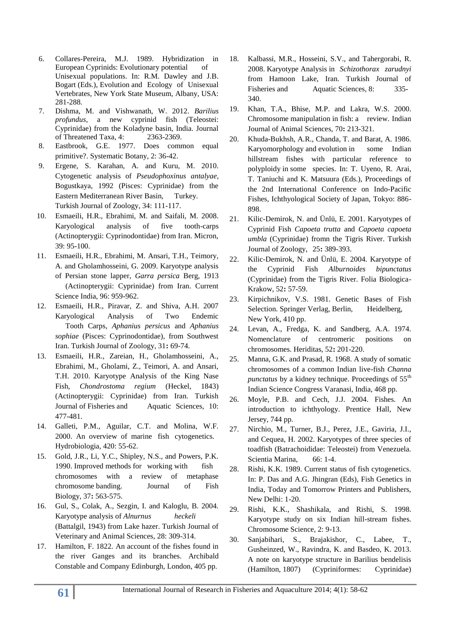- 6. Collares-Pereira, M.J. 1989. Hybridization in European Cyprinids: Evolutionary potential of Unisexual populations. In: R.M. Dawley and J.B. Bogart (Eds.), Evolution and Ecology of Unisexual Vertebrates, New York State Museum, Albany, USA: 281-288.
- 7. Dishma, M. and Vishwanath, W. 2012. *Barilius profundus*, a new cyprinid fish (Teleostei: Cyprinidae) from the Koladyne basin, India. Journal of Threatened Taxa, 4: 2363-2369.
- 8. Eastbrook, G.E. 1977. Does common equal primitive?. Systematic Botany, 2: 36-42.
- 9. Ergene, S. Karahan, A. and Kuru, M. 2010. Cytogenetic analysis of *Pseudophoxinus antalyae*, Bogustkaya, 1992 (Pisces: Cyprinidae) from the Eastern Mediterranean River Basin, Turkey. Turkish Journal of Zoology, 34: 111-117.
- 10. Esmaeili, H.R., Ebrahimi, M. and Saifali, M. 2008. Karyological analysis of five tooth-carps (Actinopterygii: Cyprinodontidae) from Iran. Micron, 39: 95-100.
- 11. Esmaeili, H.R., Ebrahimi, M. Ansari, T.H., Teimory, A. and Gholamhosseini, G. 2009. Karyotype analysis of Persian stone lapper, *Garra persica* Berg, 1913 (Actinopterygii: Cyprinidae) from Iran. Current Science India, 96: 959-962.
- 12. Esmaeili, H.R., Piravar, Z. and Shiva, A.H. 2007 Karyological Analysis of Two Endemic Tooth Carps, *Aphanius persicus* and *Aphanius sophiae* (Pisces: Cyprinodontidae), from Southwest Iran. Turkish Journal of Zoology, 31**:** 69-74.
- 13. Esmaeili, H.R., Zareian, H., Gholamhosseini, A., Ebrahimi, M., Gholami, Z., Teimori, A. and Ansari, T.H. 2010. Karyotype Analysis of the King Nase Fish, *Chondrostoma regium* (Heckel, 1843) (Actinopterygii: Cyprinidae) from Iran. Turkish Journal of Fisheries and Aquatic Sciences, 10: 477-481.
- 14. Galleti, P.M., Aguilar, C.T. and Molina, W.F. 2000. An overview of marine fish cytogenetics. Hydrobiologia, 420: 55-62.
- 15. Gold, J.R., Li, Y.C., Shipley, N.S., and Powers, P.K. 1990. Improved methods for working with fish chromosomes with a review of metaphase chromosome banding. Journal of Fish Biology, 37**:** 563-575.
- 16. Gul, S., Colak, A., Sezgin, I. and Kaloglu, B. 2004. Karyotype analysis of *Alnurnus heckeli* (Battalgil, 1943) from Lake hazer. Turkish Journal of Veterinary and Animal Sciences, 28: 309-314.
- 17. Hamilton, F. 1822. An account of the fishes found in the river Ganges and its branches. Archibald Constable and Company Edinburgh, London, 405 pp.
- 18. Kalbassi, M.R., Hosseini, S.V., and Tahergorabi, R. 2008. Karyotype Analysis in *Schizothorax zarudnyi* from Hamoon Lake, Iran. Turkish Journal of Fisheries and Aquatic Sciences, 8: 335-340.
- 19. Khan, T.A., Bhise, M.P. and Lakra, W.S. 2000. Chromosome manipulation in fish: a review. Indian Journal of Animal Sciences, 70**:** 213-321.
- 20. Khuda-Bukhsh, A.R., Chanda, T. and Barat, A. 1986. Karyomorphology and evolution in some Indian hillstream fishes with particular reference to polyploidy in some species. In: T. Uyeno, R. Arai, T. Taniuchi and K. Matsuura (Eds.), Proceedings of the 2nd International Conference on Indo-Pacific Fishes, Ichthyological Society of Japan, Tokyo: 886- 898.
- 21. Kilic-Demirok, N. and Ünlü, E. 2001. Karyotypes of Cyprinid Fish *Capoeta trutta* and *Capoeta capoeta umbla* (Cyprinidae) fromn the Tigris River. Turkish Journal of Zoology, 25**:** 389-393.
- 22. Kilic-Demirok, N. and Ünlü, E. 2004. Karyotype of the Cyprinid Fish *Alburnoides bipunctatus*  (Cyprinidae) from the Tigris River. Folia Biologica-Krakow, 52**:** 57-59.
- 23. Kirpichnikov, V.S. 1981. Genetic Bases of Fish Selection. Springer Verlag, Berlin, Heidelberg, New York, 410 pp.
- 24. Levan, A., Fredga, K. and Sandberg, A.A. 1974. Nomenclature of centromeric positions on chromosomes. Heriditas, 52**:** 201-220.
- 25. Manna, G.K. and Prasad, R. 1968. A study of somatic chromosomes of a common Indian live-fish *Channa punctatus* by a kidney technique. Proceedings of 55<sup>th</sup> Indian Science Congress Varanasi, India, 468 pp.
- 26. Moyle, P.B. and Cech, J.J. 2004. Fishes. An introduction to ichthyology. Prentice Hall, New Jersey, 744 pp.
- 27. Nirchio, M., Turner, B.J., Perez, J.E., Gaviria, J.I., and Cequea, H. 2002. Karyotypes of three species of toadfish (Batrachoididae: Teleostei) from Venezuela. Scientia Marina, 66: 1-4.
- 28. Rishi, K.K. 1989. Current status of fish cytogenetics. In: P. Das and A.G. Jhingran (Eds), Fish Genetics in India, Today and Tomorrow Printers and Publishers, New Delhi: 1-20.
- 29. Rishi, K.K., Shashikala, and Rishi, S. 1998. Karyotype study on six Indian hill-stream fishes. Chromosome Science, 2: 9-13.
- 30. Sanjabihari, S., Brajakishor, C., Labee, T., Gusheinzed, W., Ravindra, K. and Basdeo, K. 2013. A note on karyotype structure in Barilius bendelisis (Hamilton, 1807) (Cypriniformes: Cyprinidae)